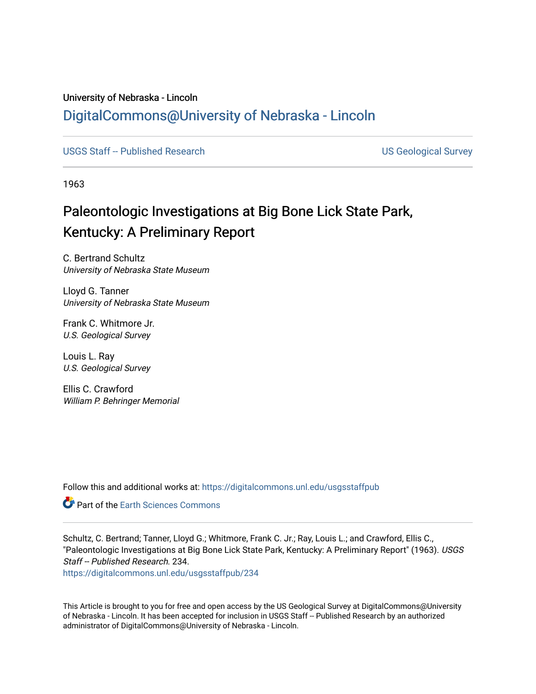## University of Nebraska - Lincoln [DigitalCommons@University of Nebraska - Lincoln](https://digitalcommons.unl.edu/)

[USGS Staff -- Published Research](https://digitalcommons.unl.edu/usgsstaffpub) **Network Constructs and Constructs** US Geological Survey

1963

## Paleontologic Investigations at Big Bone Lick State Park, Kentucky: A Preliminary Report

C. Bertrand Schultz University of Nebraska State Museum

Lloyd G. Tanner University of Nebraska State Museum

Frank C. Whitmore Jr. U.S. Geological Survey

Louis L. Ray U.S. Geological Survey

Ellis C. Crawford William P. Behringer Memorial

Follow this and additional works at: [https://digitalcommons.unl.edu/usgsstaffpub](https://digitalcommons.unl.edu/usgsstaffpub?utm_source=digitalcommons.unl.edu%2Fusgsstaffpub%2F234&utm_medium=PDF&utm_campaign=PDFCoverPages) 

**Part of the Earth Sciences Commons** 

Schultz, C. Bertrand; Tanner, Lloyd G.; Whitmore, Frank C. Jr.; Ray, Louis L.; and Crawford, Ellis C., "Paleontologic Investigations at Big Bone Lick State Park, Kentucky: A Preliminary Report" (1963). USGS Staff -- Published Research. 234.

[https://digitalcommons.unl.edu/usgsstaffpub/234](https://digitalcommons.unl.edu/usgsstaffpub/234?utm_source=digitalcommons.unl.edu%2Fusgsstaffpub%2F234&utm_medium=PDF&utm_campaign=PDFCoverPages) 

This Article is brought to you for free and open access by the US Geological Survey at DigitalCommons@University of Nebraska - Lincoln. It has been accepted for inclusion in USGS Staff -- Published Research by an authorized administrator of DigitalCommons@University of Nebraska - Lincoln.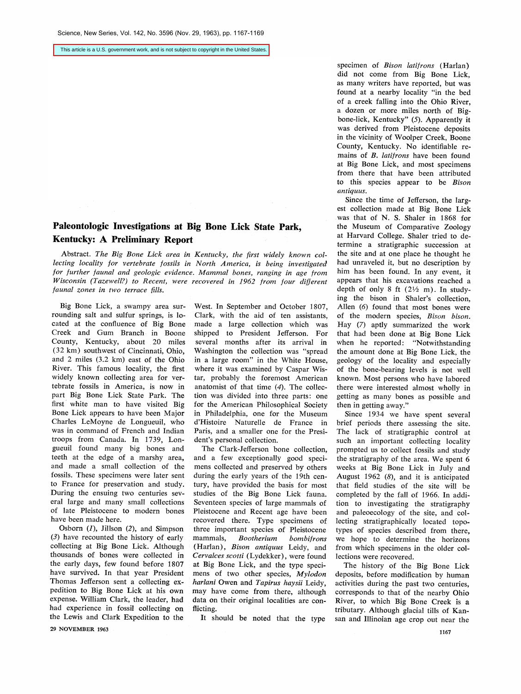This article is a U.S. government work, and is not subject to copyright in the United States.

## **Paleontologic Investigations at Big Bone Lick State Park, Kentucky: A Preliminary Report**

Abstract. The Big Bone Lick area in Kentucky, the first widely known collecting locality for vertebrate fossils in North America, is being investigated for further faunal and geologic evidence. Mammal bones, ranging in age from Wisconsin (Tazewell?) to Recent, were recovered in 1962 from four different faunal zones in two terrace fills.

Big Bone Lick, a swampy area sur**rounding salt and sulfur springs, is lo**cated at the confluence of Big Bone **Creek and Gum Branch in Boone County, Kentucky, about 20 miles**   $(32 \text{ km})$  southwest of Cincinnati, Ohio, **and 2 miles (3.2 km) east of the Ohio River. This famous locality, the frst widely known collecting area for ver- tebrate fossils in America, is now in part Big Bone Lick State Park. The first white man to have visited Big Bone Lick appears to have been Major**  Charles LeMoyne de Longueuil, who **was in command of French and Indian troops from Canada. In 1739, Longueuil found many big bones and teeth at the edge of a marshy area, and made a small collection of the fossils. These specimens were later sent to France for preservation and study. During the ensuing two centuries several large and many small collections of late Pleistocene to modern bones have been made here.** 

Osborn (1), Jillson (2), and **Simpson (3) have recounted the history of early collecting at Big Bone Lick. Although thousands of bones were collected in the early days, few found before 1807 have survived. In that year President**  Thomas Jefferson sent a collecting ex**pedition to Big Bone Lick at his own**  expense. William Clark, the leader, had **had experience in fossil collecting on the Lewis and Clark Expedition to the** 

**29 NOVEMBER 1963** 

**West. In September and October 1807, Clark, with the aid of ten assistants, made a large collection which was shipped to President Jefferson. For several months after its arrival in Washington the collection was "spread**  in a large room" in the White House, **where it was examined by Caspar Wistar, probably the foremost American anatomist of that time (4). The collection was divided into three parts: one for the American Philosophical Society**  in Philadelphia, one for the Museum d'Histoire Naturelle de France in **Paris, and a smaller one for the Presi**dent's personal collection.

The Clark-Jefferson bone collection, **and a few exceptionally good specimens collected and preserved by others during the early years of the l9th century, have provided the basis for most studies of the Big Bone Lick fauna. Seventeen species of large mammals of Pleistocene and Recent age have been recovered there. Type specimens of three important species of Pleistocene bombifrons** (Harlan), Bison antiquus Leidy, and Cervalces scotti (Lydekker), were found at Big Bone Lick, and the type speci**mens of two other species, Mylodon**  harlani Owen and Tapirus haysii Leidy, **may have come from there, although data on their original localities are conflicting.** 

**It should be noted that the type** 

specimen of *Bison latifrons* (Harlan) **did not come from Big Bone Lick, as many writers have reported, but was found at a nearby locality "in the bed of a creek falling into the Ohio R;ver, a dozen or more miles north of Big**bone-lick, Kentucky" (5). Apparently it **was derived from Pleistocene deposits in the vicinity of Woolper Creek, Boone County, Kentucky. No identifiable remains of B. Iatifrons have been found**  at Big Bone Lick, and most specimens **from there that have been attributed to this species appear to be Bison**   $antiauus$ .

Since the time of Jefferson, the larg**est collection made at Big Bone Lick**  was that of N. S. Shaler in 1868 for **the Museum of Comparative Zoology at Harvard College. Shaler tried to determine a stratigraphic succession at the site and at one place he thought he had unraveled it, but no description by**  him has been found. In any event, it **appears that his excavations reached a**  depth of only 8 ft  $(21/2 m)$ . In studying the bison in Shaler's collection, **Allen (6) found that most bones were of the modern species, Bison bison. Hay (7) aptly summarized the work that had been done at Big Bone Lick**  when he reported: "Notwithstanding the amount done at Big Bone Lick, the **geology of the locality and especially of the bone-bearing levels is not well known. Most persons who have labored there were interested almost wholly in getting as many bones as possible and then in getting away."** 

**Since 1934 we have spent several brief periods there assessing the site. The lack of stratigraphic control at such an important collecting locality prompted us to collect fossils and study the stratigraphy of the area. We spent 6 weeks at Big Bone Lick in July and**  August 1962 (8), and it is anticipated **that field studies of the site will be completed by the fall of 1966. In addition to investigating the stratigraphy and paleoecology of the site, and col**lecting stratigraphically located topotypes of species described from there, **we hope to determine the horizons from which specimens in the older collections were recovered.** 

**The history of the Big Bone Lick**  deposits, before modification by human **activities during the past two centuries, corresponds to that of the nearby Ohio River, to which Big Bone Creek is a tributary. Although glacial tills of Kansan and Illinoian age crop out near the**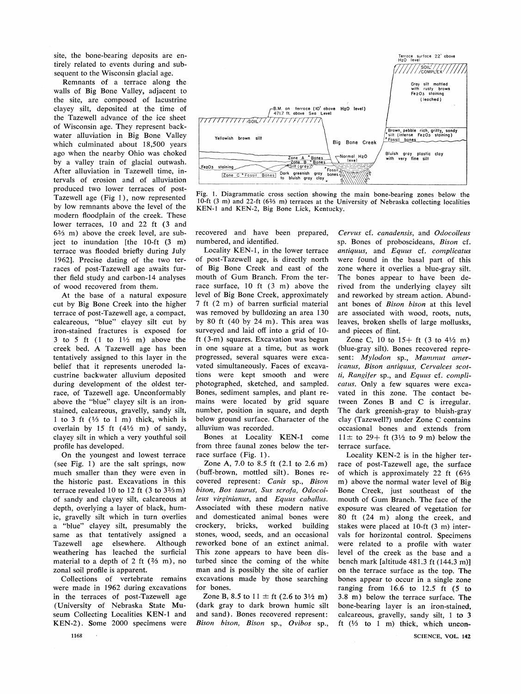**site, the bone-bearing deposits are entirely related to events during and subsequent to the Wisconsin glacial age.** 

**Remnants of a terrace along the**  walls of Big Bone Valley, adjacent to **the site, are composed of lacustrine clayey silt, deposited at the time of the Tazewell advance of the ice sheet of Wisconsin age. They represent backwater alluviation in Big Bone Valley which culminated about 18,500 years ago when the nearby Ohio was choked by a valley train of glacial outwash. After alluviation in Tazewell time, intervals of erosion and of alluviation produced two lower terraces of post-Tazewell age (Fig 1), now represented by low remnants above the level of the modern floodplain of the creek. These**  lower terraces, 10 and 22 ft (3 and **62/3 m) above the creek level, are sub**ject to inundation [the 10-ft (3 m) **terrace was flooded briefly during July 1962]. Precise dating of the two terraces of post-Tazewell age awaits further field study and carbon-14 analyses of wood recovered from them.** 

**At the base of a natural exposure cut by Big Bone Creek into the higher terrace of post-Tazewell age, a compact, calcareous, "blue" clayey silt cut by iron-stained fractures is exposed for 3 to 5 ft ( 1 to 11/2 m) above the creek bed. A Tazewell age has been tentatively assigned to this layer in the belief that it represents uneroded lacustrine backwater alluvium deposited during development of the oldest terrace, of Tazewell age. Unconformably above the "blue" clayey silt is an ironstained, calcareous, gravelly, sandy silt, 1 to 3 ft (1/3 to 1 m) thick, which is cverlain by 15 ft (41/2 m) of sandy, clayey silt in which a very youthful soil profile has developed.** 

**On the youngest and lowest terrace (see Fig. 1) are the salt springs, now much smaller than they were even in the historic past. Excavations in this terrace revealed 10 to 12 ft (3 to 32/3 m) of sandy and clayey silt, calcareous at depth, overlying a layer of black, humic, gravelly silt which in turn overlies a "blue' clayey silt, presumably the same as that tentatively assigned a Tazewell age elsewhere. Although weathering has leached the surficial material to a depth of 2 ft (2/3 m), no zonal soil profile is apparent.** 

**Collections of vertebrate remains were made in 1962 during excavations in the terraces of post-Tazewell age (University of Nebraska State Mu**seum Collecting Localities KEN-1 and **KEN-2). Some 2000 specimens were** 



**Fig. 1. Diagrammatic cross section showing the main bone-bearing zones below the**  10-ft (3 m) and 22-ft (6<sup>2</sup>/<sub>3</sub> m) terraces at the University of Nebraska collecting localities **KEN-1 and KEN-2, Big Bone Lick, Kentucky.** 

**recovered and have been prepared, numbered, and identified.** 

**Locality KEN-1, in the lower terrace of post-Tazewell age, is directly north of Big Bone Creek and east of the mouth of Gum Branch. From the terrace surface, 10 ft (3 m) above the level of Big Bone Creek, approximately 7 ft (2 m) of barren surficial material was removed by bulldozing an area 130 by 80 ft (40 by 24 m). This area was surveyed and laid off into a grid of 10 ft (3-m) squares. Excavation was begun in one square at a time, but as work progressed, several squares were excavated simultaneously. Faces of excavations were kept smooth and were photographed, sketched, and sampled. Bones, sediment samples, and plant remains were located by grid square number, position in square, and depth below ground surface. Character of the alluvium was recorded.** 

**Bones at Locality KEN-1 come from three faunal zones below the terrace surface (Fig. 1).** 

Zone A, 7.0 to 8.5 ft (2.1 to 2.6 m) **(buff-brown, mottled silt). Bones recovered represent: Canis sp., Bison bison, Bos taurus, Sus scrofa, Odocoileus virginianus, and Equus caballus. Associated with these modern native and domesticated animal bones were**  crockery, bricks, **stones, wood, seeds, and an occasional reworked bone of an extinct animal. This zone appears to have been disturbed since the coming of the white man and is possibly the site of earlier excavations made by those searching for bones.** 

Zone B, 8.5 to  $11 \pm \text{ft}$  (2.6 to  $3\frac{1}{2}$  m) **(dark gray to dark brown humic silt and sand). Bones recovered represent: Bison bison, Bison sp., Ovibos sp.,** 

**Cervus cf. canadensis, and Odocoileus**  sp. Bones of proboscideans, Bison cf. antiquus, and Equus cf. complicatus **were found in the basal part of this zone where it overlies a blue-gray silt. The bones appear to have been derived from the underlying clayey silt and reworked by stream action. Abundant bones of Bison bison at this level are associated with wood, roots, nuts, leaves, broken shells of large mollusks, and pieces of flint.** 

**Zone C, 10 to 15+ ft (3 to 41/2 m) (blue-gray silt). Bones recovered represent: Mylodon sp., Mammut americanus, Bison antiquus, Cervalces scotti, Rangifer sp., and Equus cf. complicatus. Only a few squares were excavated in this zone. The contact between Zones B and C is irregular. The dark greenish-gray to bluish-gray clay (Tazewell?) under Zone C contains occasional bones and extends from**   $11 \pm$  to 29 + ft (3<sup>1/2</sup> to 9 m) below the **terrace surface.** 

**Locality KEN-2 is in the higher terrace of post-Tazewell age, the surface of which is approximately 22 ft (62/3 m) above the normal water level of Big Bone Creek, just southeast of the mouth of Gum Branch. The face of the exposure was cleared of vegetation for 80 ft (24 m) along the creek, and stakes were placed at 10-ft (3 m) intervals for horizontal control. Specimens were related to a profile with water level of the creek as the base and a bench mark [altitude 481.3 ft (144.3 m)] on the terrace surface as the top. The bones appear to occur in a single zone ranging from 16.6 to 12.5 ft (5 to 3.8 m) below the terrace surface. The bone-bearing layer is an iron-stained; calcareous, gravelly, sandy silt, 1 to 3 ft (1/3 to 1 m) thick, which uncon-**